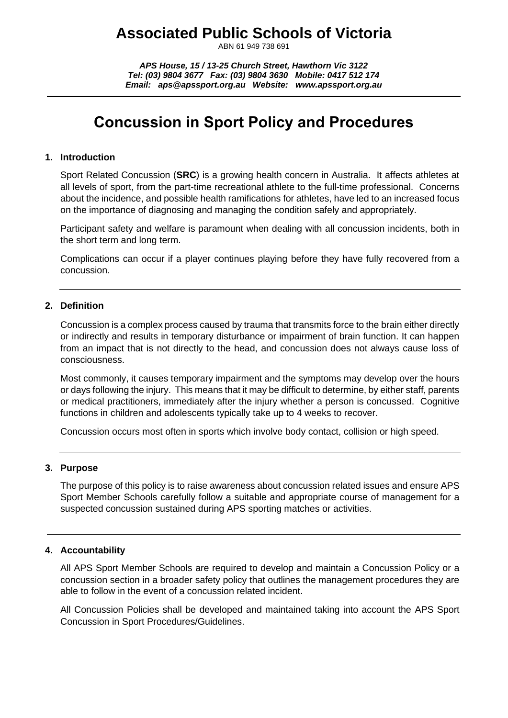# **Associated Public Schools of Victoria**

ABN 61 949 738 691

*APS House, 15 / 13-25 Church Street, Hawthorn Vic 3122 Tel: (03) 9804 3677 Fax: (03) 9804 3630 Mobile: 0417 512 174 Email: aps@apssport.org.au Website: www.apssport.org.au*

# **Concussion in Sport Policy and Procedures**

#### **1. Introduction**

Sport Related Concussion (**SRC**) is a growing health concern in Australia. It affects athletes at all levels of sport, from the part-time recreational athlete to the full-time professional. Concerns about the incidence, and possible health ramifications for athletes, have led to an increased focus on the importance of diagnosing and managing the condition safely and appropriately.

Participant safety and welfare is paramount when dealing with all concussion incidents, both in the short term and long term.

Complications can occur if a player continues playing before they have fully recovered from a concussion.

#### **2. Definition**

Concussion is a complex process caused by trauma that transmits force to the brain either directly or indirectly and results in temporary disturbance or impairment of brain function. It can happen from an impact that is not directly to the head, and concussion does not always cause loss of consciousness.

Most commonly, it causes temporary impairment and the symptoms may develop over the hours or days following the injury. This means that it may be difficult to determine, by either staff, parents or medical practitioners, immediately after the injury whether a person is concussed. Cognitive functions in children and adolescents typically take up to 4 weeks to recover.

Concussion occurs most often in sports which involve body contact, collision or high speed.

#### **3. Purpose**

The purpose of this policy is to raise awareness about concussion related issues and ensure APS Sport Member Schools carefully follow a suitable and appropriate course of management for a suspected concussion sustained during APS sporting matches or activities.

#### **4. Accountability**

All APS Sport Member Schools are required to develop and maintain a Concussion Policy or a concussion section in a broader safety policy that outlines the management procedures they are able to follow in the event of a concussion related incident.

All Concussion Policies shall be developed and maintained taking into account the APS Sport Concussion in Sport Procedures/Guidelines.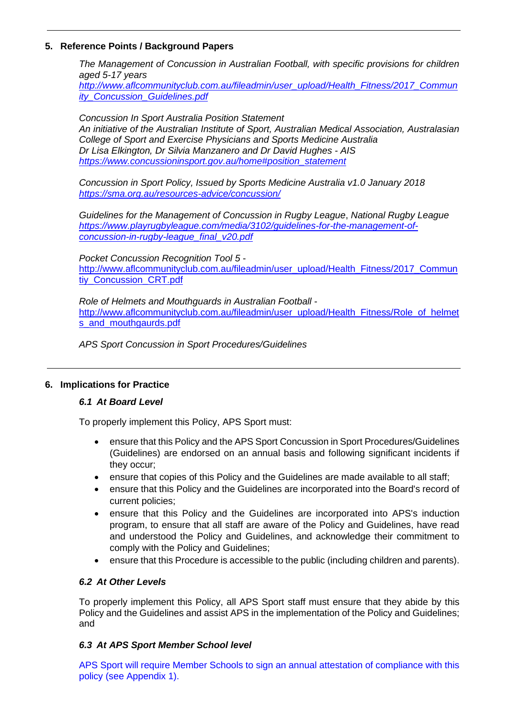## **5. Reference Points / Background Papers**

*The Management of Concussion in Australian Football, with specific provisions for children aged 5-17 years*

*[http://www.aflcommunityclub.com.au/fileadmin/user\\_upload/Health\\_Fitness/2017\\_Commun](http://www.aflcommunityclub.com.au/fileadmin/user_upload/Health_Fitness/2017_Community_Concussion_Guidelines.pdf) [ity\\_Concussion\\_Guidelines.pdf](http://www.aflcommunityclub.com.au/fileadmin/user_upload/Health_Fitness/2017_Community_Concussion_Guidelines.pdf)*

*Concussion In Sport Australia Position Statement An initiative of the Australian Institute of Sport, Australian Medical Association, Australasian College of Sport and Exercise Physicians and Sports Medicine Australia Dr Lisa Elkington, Dr Silvia Manzanero and Dr David Hughes - AIS [https://www.concussioninsport.gov.au/home#position\\_statement](https://www.concussioninsport.gov.au/home#position_statement)*

*Concussion in Sport Policy, Issued by Sports Medicine Australia v1.0 January 2018 <https://sma.org.au/resources-advice/concussion/>*

*Guidelines for the Management of Concussion in Rugby League*, *National Rugby League [https://www.playrugbyleague.com/media/3102/guidelines-for-the-management-of](https://www.playrugbyleague.com/media/3102/guidelines-for-the-management-of-concussion-in-rugby-league_final_v20.pdf)[concussion-in-rugby-league\\_final\\_v20.pdf](https://www.playrugbyleague.com/media/3102/guidelines-for-the-management-of-concussion-in-rugby-league_final_v20.pdf)*

*Pocket Concussion Recognition Tool 5* [http://www.aflcommunityclub.com.au/fileadmin/user\\_upload/Health\\_Fitness/2017\\_Commun](http://www.aflcommunityclub.com.au/fileadmin/user_upload/Health_Fitness/2017_Communtiy_Concussion_CRT.pdf) [tiy\\_Concussion\\_CRT.pdf](http://www.aflcommunityclub.com.au/fileadmin/user_upload/Health_Fitness/2017_Communtiy_Concussion_CRT.pdf)

*Role of Helmets and Mouthguards in Australian Football* [http://www.aflcommunityclub.com.au/fileadmin/user\\_upload/Health\\_Fitness/Role\\_of\\_helmet](http://www.aflcommunityclub.com.au/fileadmin/user_upload/Health_Fitness/Role_of_helmets_and_mouthgaurds.pdf) [s\\_and\\_mouthgaurds.pdf](http://www.aflcommunityclub.com.au/fileadmin/user_upload/Health_Fitness/Role_of_helmets_and_mouthgaurds.pdf)

*APS Sport Concussion in Sport Procedures/Guidelines* 

#### **6. Implications for Practice**

#### *6.1 At Board Level*

To properly implement this Policy, APS Sport must:

- ensure that this Policy and the APS Sport Concussion in Sport Procedures/Guidelines (Guidelines) are endorsed on an annual basis and following significant incidents if they occur;
- ensure that copies of this Policy and the Guidelines are made available to all staff;
- ensure that this Policy and the Guidelines are incorporated into the Board's record of current policies;
- ensure that this Policy and the Guidelines are incorporated into APS's induction program, to ensure that all staff are aware of the Policy and Guidelines, have read and understood the Policy and Guidelines, and acknowledge their commitment to comply with the Policy and Guidelines;
- ensure that this Procedure is accessible to the public (including children and parents).

# *6.2 At Other Levels*

To properly implement this Policy, all APS Sport staff must ensure that they abide by this Policy and the Guidelines and assist APS in the implementation of the Policy and Guidelines; and

#### *6.3 At APS Sport Member School level*

APS Sport will require Member Schools to sign an annual attestation of compliance with this policy (see Appendix 1).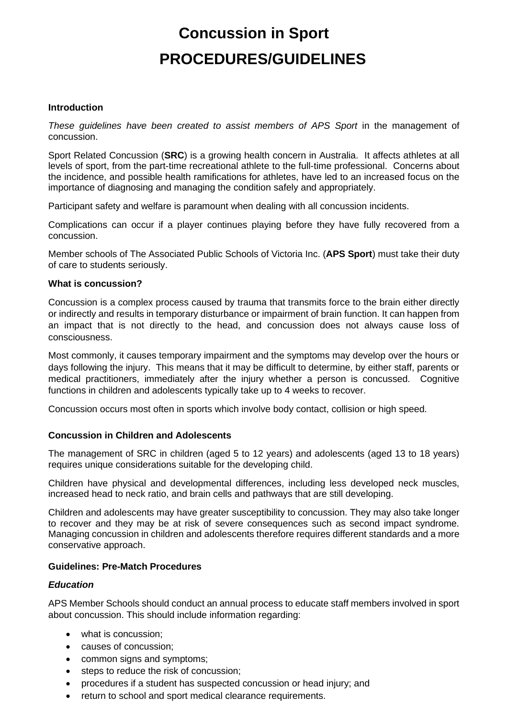# **Concussion in Sport PROCEDURES/GUIDELINES**

#### **Introduction**

*These guidelines have been created to assist members of APS Sport* in the management of concussion.

Sport Related Concussion (**SRC**) is a growing health concern in Australia. It affects athletes at all levels of sport, from the part-time recreational athlete to the full-time professional. Concerns about the incidence, and possible health ramifications for athletes, have led to an increased focus on the importance of diagnosing and managing the condition safely and appropriately.

Participant safety and welfare is paramount when dealing with all concussion incidents.

Complications can occur if a player continues playing before they have fully recovered from a concussion.

Member schools of The Associated Public Schools of Victoria Inc. (**APS Sport**) must take their duty of care to students seriously.

#### **What is concussion?**

Concussion is a complex process caused by trauma that transmits force to the brain either directly or indirectly and results in temporary disturbance or impairment of brain function. It can happen from an impact that is not directly to the head, and concussion does not always cause loss of consciousness.

Most commonly, it causes temporary impairment and the symptoms may develop over the hours or days following the injury. This means that it may be difficult to determine, by either staff, parents or medical practitioners, immediately after the injury whether a person is concussed. Cognitive functions in children and adolescents typically take up to 4 weeks to recover.

Concussion occurs most often in sports which involve body contact, collision or high speed.

#### **Concussion in Children and Adolescents**

The management of SRC in children (aged 5 to 12 years) and adolescents (aged 13 to 18 years) requires unique considerations suitable for the developing child.

Children have physical and developmental differences, including less developed neck muscles, increased head to neck ratio, and brain cells and pathways that are still developing.

Children and adolescents may have greater susceptibility to concussion. They may also take longer to recover and they may be at risk of severe consequences such as second impact syndrome. Managing concussion in children and adolescents therefore requires different standards and a more conservative approach.

#### **Guidelines: Pre-Match Procedures**

#### *Education*

APS Member Schools should conduct an annual process to educate staff members involved in sport about concussion. This should include information regarding:

- what is concussion:
- causes of concussion;
- common signs and symptoms;
- steps to reduce the risk of concussion;
- procedures if a student has suspected concussion or head injury; and
- return to school and sport medical clearance requirements.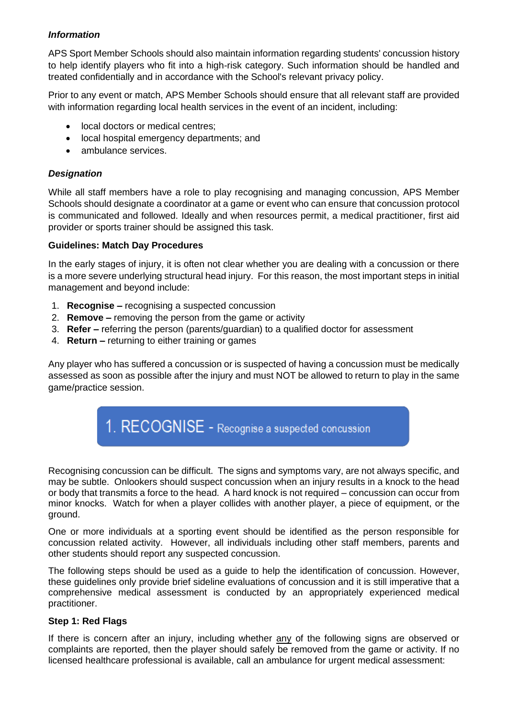## *Information*

APS Sport Member Schools should also maintain information regarding students' concussion history to help identify players who fit into a high-risk category. Such information should be handled and treated confidentially and in accordance with the School's relevant privacy policy.

Prior to any event or match, APS Member Schools should ensure that all relevant staff are provided with information regarding local health services in the event of an incident, including:

- local doctors or medical centres;
- local hospital emergency departments; and
- ambulance services.

# *Designation*

While all staff members have a role to play recognising and managing concussion, APS Member Schools should designate a coordinator at a game or event who can ensure that concussion protocol is communicated and followed. Ideally and when resources permit, a medical practitioner, first aid provider or sports trainer should be assigned this task.

#### **Guidelines: Match Day Procedures**

In the early stages of injury, it is often not clear whether you are dealing with a concussion or there is a more severe underlying structural head injury. For this reason, the most important steps in initial management and beyond include:

- 1. **Recognise –** recognising a suspected concussion
- 2. **Remove –** removing the person from the game or activity
- 3. **Refer –** referring the person (parents/guardian) to a qualified doctor for assessment
- 4. **Return –** returning to either training or games

Any player who has suffered a concussion or is suspected of having a concussion must be medically assessed as soon as possible after the injury and must NOT be allowed to return to play in the same game/practice session.



Recognising concussion can be difficult. The signs and symptoms vary, are not always specific, and may be subtle. Onlookers should suspect concussion when an injury results in a knock to the head or body that transmits a force to the head. A hard knock is not required – concussion can occur from minor knocks. Watch for when a player collides with another player, a piece of equipment, or the ground.

One or more individuals at a sporting event should be identified as the person responsible for concussion related activity. However, all individuals including other staff members, parents and other students should report any suspected concussion.

The following steps should be used as a guide to help the identification of concussion. However, these guidelines only provide brief sideline evaluations of concussion and it is still imperative that a comprehensive medical assessment is conducted by an appropriately experienced medical practitioner.

#### **Step 1: Red Flags**

If there is concern after an injury, including whether any of the following signs are observed or complaints are reported, then the player should safely be removed from the game or activity. If no licensed healthcare professional is available, call an ambulance for urgent medical assessment: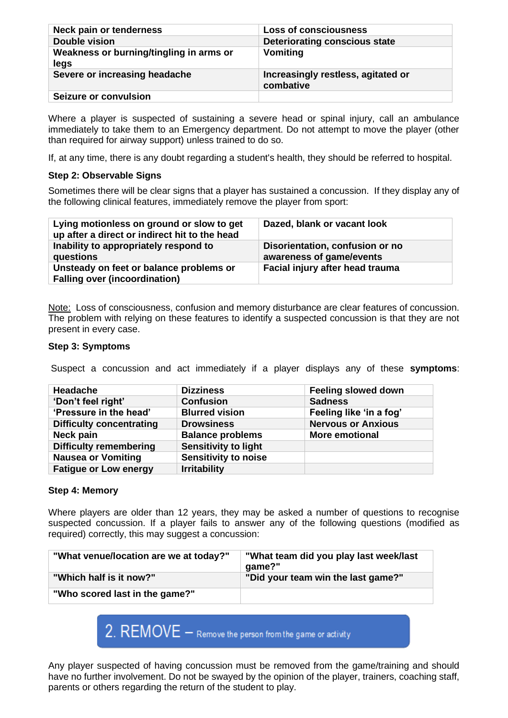| Neck pain or tenderness                         | <b>Loss of consciousness</b>                    |
|-------------------------------------------------|-------------------------------------------------|
| Double vision                                   | Deteriorating conscious state                   |
| Weakness or burning/tingling in arms or<br>legs | Vomiting                                        |
| Severe or increasing headache                   | Increasingly restless, agitated or<br>combative |
| Seizure or convulsion                           |                                                 |

Where a player is suspected of sustaining a severe head or spinal injury, call an ambulance immediately to take them to an Emergency department. Do not attempt to move the player (other than required for airway support) unless trained to do so.

If, at any time, there is any doubt regarding a student's health, they should be referred to hospital.

# **Step 2: Observable Signs**

Sometimes there will be clear signs that a player has sustained a concussion. If they display any of the following clinical features, immediately remove the player from sport:

| Lying motionless on ground or slow to get<br>up after a direct or indirect hit to the head | Dazed, blank or vacant look                                 |
|--------------------------------------------------------------------------------------------|-------------------------------------------------------------|
| Inability to appropriately respond to<br>questions                                         | Disorientation, confusion or no<br>awareness of game/events |
| Unsteady on feet or balance problems or<br><b>Falling over (incoordination)</b>            | Facial injury after head trauma                             |

Note: Loss of consciousness, confusion and memory disturbance are clear features of concussion. The problem with relying on these features to identify a suspected concussion is that they are not present in every case.

#### **Step 3: Symptoms**

Suspect a concussion and act immediately if a player displays any of these **symptoms**:

| Headache                        | <b>Dizziness</b>            | <b>Feeling slowed down</b> |
|---------------------------------|-----------------------------|----------------------------|
| 'Don't feel right'              | <b>Confusion</b>            | <b>Sadness</b>             |
| 'Pressure in the head'          | <b>Blurred vision</b>       | Feeling like 'in a fog'    |
| <b>Difficulty concentrating</b> | <b>Drowsiness</b>           | <b>Nervous or Anxious</b>  |
| Neck pain                       | <b>Balance problems</b>     | <b>More emotional</b>      |
| <b>Difficulty remembering</b>   | <b>Sensitivity to light</b> |                            |
| <b>Nausea or Vomiting</b>       | <b>Sensitivity to noise</b> |                            |
| <b>Fatigue or Low energy</b>    | <b>Irritability</b>         |                            |

#### **Step 4: Memory**

Where players are older than 12 years, they may be asked a number of questions to recognise suspected concussion. If a player fails to answer any of the following questions (modified as required) correctly, this may suggest a concussion:

| "What venue/location are we at today?" | "What team did you play last week/last<br>qame?" |
|----------------------------------------|--------------------------------------------------|
| "Which half is it now?"                | "Did your team win the last game?"               |
| "Who scored last in the game?"         |                                                  |



Any player suspected of having concussion must be removed from the game/training and should have no further involvement. Do not be swayed by the opinion of the player, trainers, coaching staff, parents or others regarding the return of the student to play.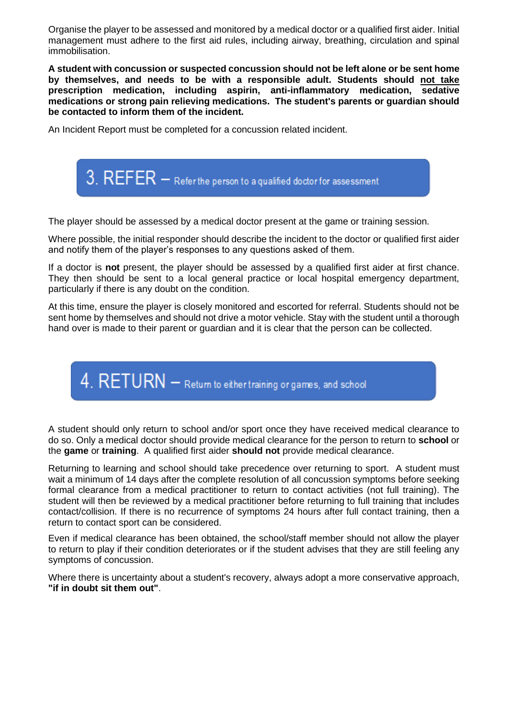Organise the player to be assessed and monitored by a medical doctor or a qualified first aider. Initial management must adhere to the first aid rules, including airway, breathing, circulation and spinal immobilisation.

**A student with concussion or suspected concussion should not be left alone or be sent home by themselves, and needs to be with a responsible adult. Students should not take prescription medication, including aspirin, anti-inflammatory medication, sedative medications or strong pain relieving medications. The student's parents or guardian should be contacted to inform them of the incident.**

An Incident Report must be completed for a concussion related incident.



The player should be assessed by a medical doctor present at the game or training session.

Where possible, the initial responder should describe the incident to the doctor or qualified first aider and notify them of the player's responses to any questions asked of them.

If a doctor is **not** present, the player should be assessed by a qualified first aider at first chance. They then should be sent to a local general practice or local hospital emergency department, particularly if there is any doubt on the condition.

At this time, ensure the player is closely monitored and escorted for referral. Students should not be sent home by themselves and should not drive a motor vehicle. Stay with the student until a thorough hand over is made to their parent or guardian and it is clear that the person can be collected.

 $4.$  RETURN  $-$  Return to either training or games, and school

A student should only return to school and/or sport once they have received medical clearance to do so. Only a medical doctor should provide medical clearance for the person to return to **school** or the **game** or **training**. A qualified first aider **should not** provide medical clearance.

Returning to learning and school should take precedence over returning to sport. A student must wait a minimum of 14 days after the complete resolution of all concussion symptoms before seeking formal clearance from a medical practitioner to return to contact activities (not full training). The student will then be reviewed by a medical practitioner before returning to full training that includes contact/collision. If there is no recurrence of symptoms 24 hours after full contact training, then a return to contact sport can be considered.

Even if medical clearance has been obtained, the school/staff member should not allow the player to return to play if their condition deteriorates or if the student advises that they are still feeling any symptoms of concussion.

Where there is uncertainty about a student's recovery, always adopt a more conservative approach, **"if in doubt sit them out"**.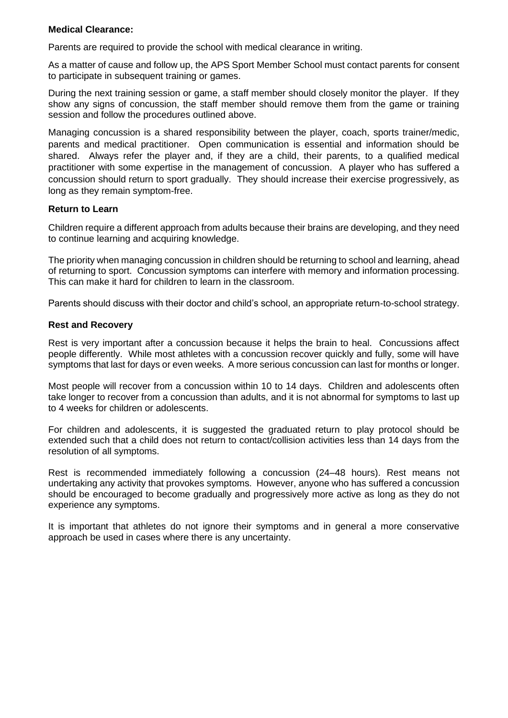#### **Medical Clearance:**

Parents are required to provide the school with medical clearance in writing.

As a matter of cause and follow up, the APS Sport Member School must contact parents for consent to participate in subsequent training or games.

During the next training session or game, a staff member should closely monitor the player. If they show any signs of concussion, the staff member should remove them from the game or training session and follow the procedures outlined above.

Managing concussion is a shared responsibility between the player, coach, sports trainer/medic, parents and medical practitioner. Open communication is essential and information should be shared. Always refer the player and, if they are a child, their parents, to a qualified medical practitioner with some expertise in the management of concussion. A player who has suffered a concussion should return to sport gradually. They should increase their exercise progressively, as long as they remain symptom-free.

#### **Return to Learn**

Children require a different approach from adults because their brains are developing, and they need to continue learning and acquiring knowledge.

The priority when managing concussion in children should be returning to school and learning, ahead of returning to sport. Concussion symptoms can interfere with memory and information processing. This can make it hard for children to learn in the classroom.

Parents should discuss with their doctor and child's school, an appropriate return-to-school strategy.

#### **Rest and Recovery**

Rest is very important after a concussion because it helps the brain to heal. Concussions affect people differently. While most athletes with a concussion recover quickly and fully, some will have symptoms that last for days or even weeks. A more serious concussion can last for months or longer.

Most people will recover from a concussion within 10 to 14 days. Children and adolescents often take longer to recover from a concussion than adults, and it is not abnormal for symptoms to last up to 4 weeks for children or adolescents.

For children and adolescents, it is suggested the graduated return to play protocol should be extended such that a child does not return to contact/collision activities less than 14 days from the resolution of all symptoms.

Rest is recommended immediately following a concussion (24–48 hours). Rest means not undertaking any activity that provokes symptoms. However, anyone who has suffered a concussion should be encouraged to become gradually and progressively more active as long as they do not experience any symptoms.

It is important that athletes do not ignore their symptoms and in general a more conservative approach be used in cases where there is any uncertainty.